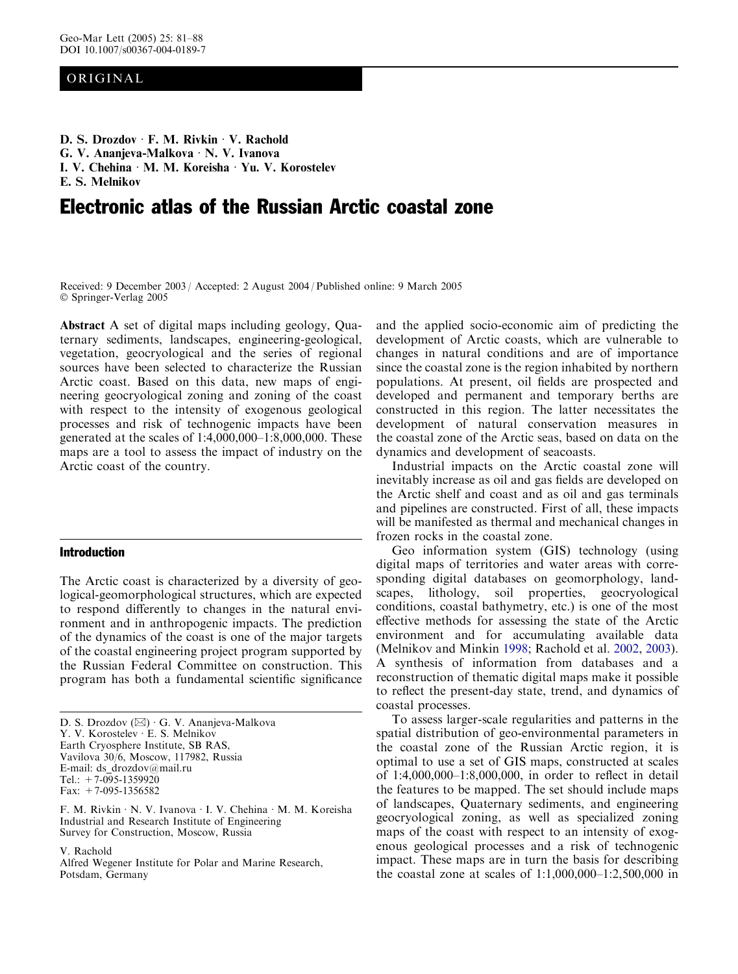# ORIGINAL

D. S. Drozdov  $\cdot$  F. M. Rivkin  $\cdot$  V. Rachold G. V. Ananjeva-Malkova · N. V. Ivanova I. V. Chehina · M. M. Koreisha · Yu. V. Korostelev E. S. Melnikov

# Electronic atlas of the Russian Arctic coastal zone

Received: 9 December 2003 / Accepted: 2 August 2004 / Published online: 9 March 2005 Springer-Verlag 2005

Abstract A set of digital maps including geology, Quaternary sediments, landscapes, engineering-geological, vegetation, geocryological and the series of regional sources have been selected to characterize the Russian Arctic coast. Based on this data, new maps of engineering geocryological zoning and zoning of the coast with respect to the intensity of exogenous geological processes and risk of technogenic impacts have been generated at the scales of 1:4,000,000–1:8,000,000. These maps are a tool to assess the impact of industry on the Arctic coast of the country.

### Introduction

The Arctic coast is characterized by a diversity of geological-geomorphological structures, which are expected to respond differently to changes in the natural environment and in anthropogenic impacts. The prediction of the dynamics of the coast is one of the major targets of the coastal engineering project program supported by the Russian Federal Committee on construction. This program has both a fundamental scientific significance

F. M. Rivkin · N. V. Ivanova · I. V. Chehina · M. M. Koreisha Industrial and Research Institute of Engineering Survey for Construction, Moscow, Russia

V. Rachold

Alfred Wegener Institute for Polar and Marine Research, Potsdam, Germany

and the applied socio-economic aim of predicting the development of Arctic coasts, which are vulnerable to changes in natural conditions and are of importance since the coastal zone is the region inhabited by northern populations. At present, oil fields are prospected and developed and permanent and temporary berths are constructed in this region. The latter necessitates the development of natural conservation measures in the coastal zone of the Arctic seas, based on data on the dynamics and development of seacoasts.

Industrial impacts on the Arctic coastal zone will inevitably increase as oil and gas fields are developed on the Arctic shelf and coast and as oil and gas terminals and pipelines are constructed. First of all, these impacts will be manifested as thermal and mechanical changes in frozen rocks in the coastal zone.

Geo information system (GIS) technology (using digital maps of territories and water areas with corresponding digital databases on geomorphology, landscapes, lithology, soil properties, geocryological conditions, coastal bathymetry, etc.) is one of the most effective methods for assessing the state of the Arctic environment and for accumulating available data (Melnikov and Minkin [1998;](#page-7-0) Rachold et al. [2002](#page-7-0), [2003\)](#page-7-0). A synthesis of information from databases and a reconstruction of thematic digital maps make it possible to reflect the present-day state, trend, and dynamics of coastal processes.

To assess larger-scale regularities and patterns in the spatial distribution of geo-environmental parameters in the coastal zone of the Russian Arctic region, it is optimal to use a set of GIS maps, constructed at scales of 1:4,000,000–1:8,000,000, in order to reflect in detail the features to be mapped. The set should include maps of landscapes, Quaternary sediments, and engineering geocryological zoning, as well as specialized zoning maps of the coast with respect to an intensity of exogenous geological processes and a risk of technogenic impact. These maps are in turn the basis for describing the coastal zone at scales of 1:1,000,000–1:2,500,000 in

D. S. Drozdov (⊠) · G. V. Ananjeva-Malkova Y. V. Korostelev E. S. Melnikov Earth Cryosphere Institute, SB RAS, Vavilova 30/6, Moscow, 117982, Russia E-mail: ds\_drozdov@mail.ru Tel.:  $+7-095-1359920$ Fax: +7-095-1356582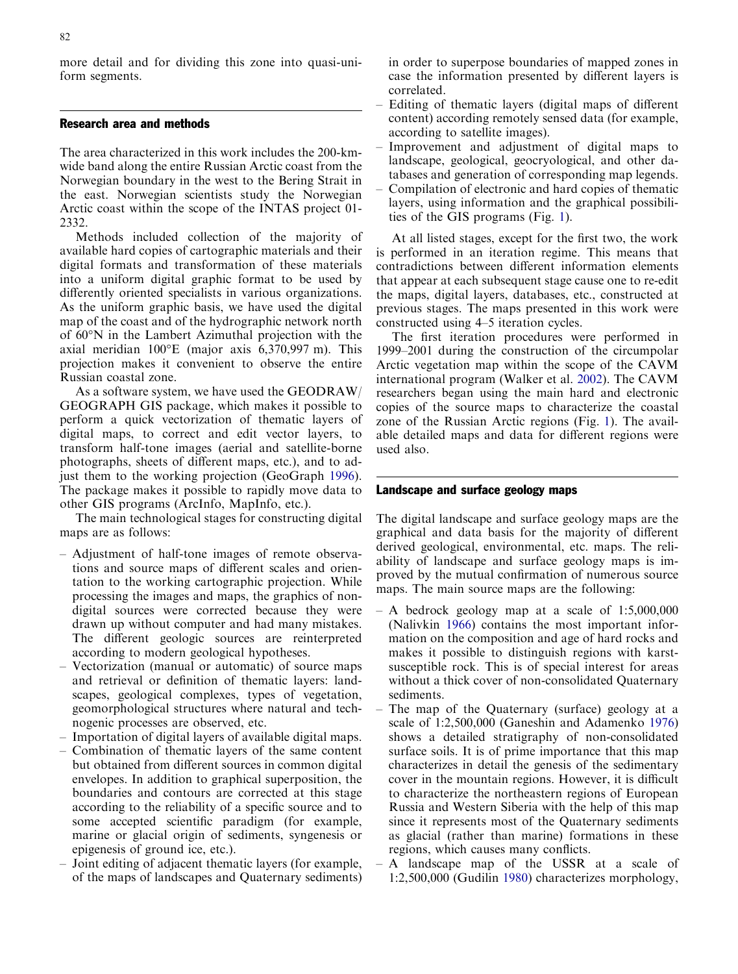more detail and for dividing this zone into quasi-uniform segments.

#### Research area and methods

The area characterized in this work includes the 200-kmwide band along the entire Russian Arctic coast from the Norwegian boundary in the west to the Bering Strait in the east. Norwegian scientists study the Norwegian Arctic coast within the scope of the INTAS project 01- 2332.

Methods included collection of the majority of available hard copies of cartographic materials and their digital formats and transformation of these materials into a uniform digital graphic format to be used by differently oriented specialists in various organizations. As the uniform graphic basis, we have used the digital map of the coast and of the hydrographic network north of 60°N in the Lambert Azimuthal projection with the axial meridian 100°E (major axis 6,370,997 m). This projection makes it convenient to observe the entire Russian coastal zone.

As a software system, we have used the GEODRAW/ GEOGRAPH GIS package, which makes it possible to perform a quick vectorization of thematic layers of digital maps, to correct and edit vector layers, to transform half-tone images (aerial and satellite-borne photographs, sheets of different maps, etc.), and to adjust them to the working projection (GeoGraph [1996\)](#page-7-0). The package makes it possible to rapidly move data to other GIS programs (ArcInfo, MapInfo, etc.).

The main technological stages for constructing digital maps are as follows:

- Adjustment of half-tone images of remote observations and source maps of different scales and orientation to the working cartographic projection. While processing the images and maps, the graphics of nondigital sources were corrected because they were drawn up without computer and had many mistakes. The different geologic sources are reinterpreted according to modern geological hypotheses.
- Vectorization (manual or automatic) of source maps and retrieval or definition of thematic layers: landscapes, geological complexes, types of vegetation, geomorphological structures where natural and technogenic processes are observed, etc.
- Importation of digital layers of available digital maps.
- Combination of thematic layers of the same content but obtained from different sources in common digital envelopes. In addition to graphical superposition, the boundaries and contours are corrected at this stage according to the reliability of a specific source and to some accepted scientific paradigm (for example, marine or glacial origin of sediments, syngenesis or epigenesis of ground ice, etc.).
- Joint editing of adjacent thematic layers (for example, of the maps of landscapes and Quaternary sediments)

in order to superpose boundaries of mapped zones in case the information presented by different layers is correlated.

- Editing of thematic layers (digital maps of different content) according remotely sensed data (for example, according to satellite images).
- Improvement and adjustment of digital maps to landscape, geological, geocryological, and other databases and generation of corresponding map legends.
- Compilation of electronic and hard copies of thematic layers, using information and the graphical possibilities of the GIS programs (Fig. [1\).](#page-2-0)

At all listed stages, except for the first two, the work is performed in an iteration regime. This means that contradictions between different information elements that appear at each subsequent stage cause one to re-edit the maps, digital layers, databases, etc., constructed at previous stages. The maps presented in this work were constructed using 4–5 iteration cycles.

The first iteration procedures were performed in 1999–2001 during the construction of the circumpolar Arctic vegetation map within the scope of the CAVM international program (Walker et al. [2002\)](#page-7-0). The CAVM researchers began using the main hard and electronic copies of the source maps to characterize the coastal zone of the Russian Arctic regions (Fig. [1\). The avail](#page-2-0)[able detailed maps and data for different regions were](#page-2-0) [used also.](#page-2-0)

#### Landscape and surface geology maps

The digital landscape and surface geology maps are the graphical and data basis for the majority of different derived geological, environmental, etc. maps. The reliability of landscape and surface geology maps is improved by the mutual confirmation of numerous source maps. The main source maps are the following:

- A bedrock geology map at a scale of 1:5,000,000 (Nalivkin [1966\)](#page-7-0) contains the most important information on the composition and age of hard rocks and makes it possible to distinguish regions with karstsusceptible rock. This is of special interest for areas without a thick cover of non-consolidated Quaternary sediments.
- The map of the Quaternary (surface) geology at a scale of 1:2,500,000 (Ganeshin and Adamenko [1976\)](#page-7-0) shows a detailed stratigraphy of non-consolidated surface soils. It is of prime importance that this map characterizes in detail the genesis of the sedimentary cover in the mountain regions. However, it is difficult to characterize the northeastern regions of European Russia and Western Siberia with the help of this map since it represents most of the Quaternary sediments as glacial (rather than marine) formations in these regions, which causes many conflicts.
- A landscape map of the USSR at a scale of 1:2,500,000 (Gudilin [1980\)](#page-7-0) characterizes morphology,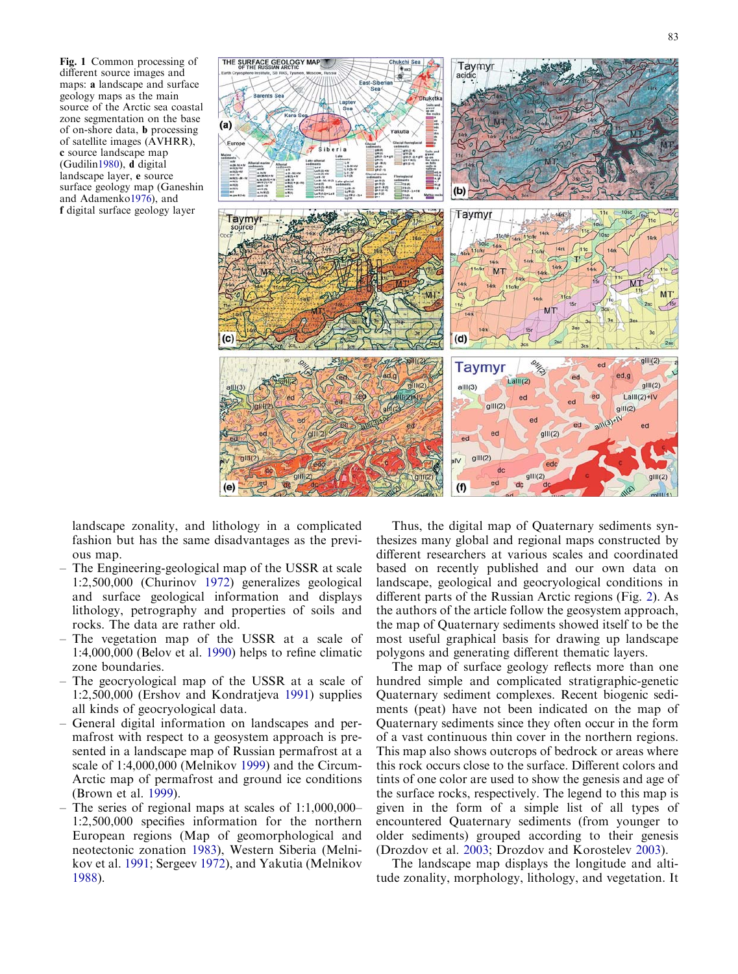<span id="page-2-0"></span>Fig. 1 Common processing of different source images and maps: a landscape and surface geology maps as the main source of the Arctic sea coastal zone segmentation on the base of on-shore data, b processing of satellite images (AVHRR), c source landscape map (Gudili[n1980](#page-7-0)), d digital landscape layer, e source surface geology map (Ganeshin and Adamenk[o1976](#page-7-0)), and f digital surface geology layer



landscape zonality, and lithology in a complicated fashion but has the same disadvantages as the previous map.

- The Engineering-geological map of the USSR at scale 1:2,500,000 (Churinov [1972](#page-7-0)) generalizes geological and surface geological information and displays lithology, petrography and properties of soils and rocks. The data are rather old.
- The vegetation map of the USSR at a scale of 1:4,000,000 (Belov et al. [1990\)](#page-7-0) helps to refine climatic zone boundaries.
- The geocryological map of the USSR at a scale of 1:2,500,000 (Ershov and Kondratjeva [1991\)](#page-7-0) supplies all kinds of geocryological data.
- General digital information on landscapes and permafrost with respect to a geosystem approach is presented in a landscape map of Russian permafrost at a scale of 1:4,000,000 (Melnikov [1999](#page-7-0)) and the Circum-Arctic map of permafrost and ground ice conditions (Brown et al. [1999\)](#page-7-0).
- The series of regional maps at scales of 1:1,000,000– 1:2,500,000 specifies information for the northern European regions (Map of geomorphological and neotectonic zonation [1983\)](#page-7-0), Western Siberia (Melnikov et al. [1991;](#page-7-0) Sergeev [1972\)](#page-7-0), and Yakutia (Melnikov [1988\)](#page-7-0).

Thus, the digital map of Quaternary sediments synthesizes many global and regional maps constructed by different researchers at various scales and coordinated based on recently published and our own data on landscape, geological and geocryological conditions in different parts of the Russian Arctic regions (Fig. [2\). As](#page-3-0) [the authors of the article follow the geosystem approach,](#page-3-0) [the map of Quaternary sediments showed itself to be the](#page-3-0) [most useful graphical basis for drawing up landscape](#page-3-0) [polygons and generating different thematic layers.](#page-3-0)

The map of surface geology reflects more than one hundred simple and complicated stratigraphic-genetic Quaternary sediment complexes. Recent biogenic sediments (peat) have not been indicated on the map of Quaternary sediments since they often occur in the form of a vast continuous thin cover in the northern regions. This map also shows outcrops of bedrock or areas where this rock occurs close to the surface. Different colors and tints of one color are used to show the genesis and age of the surface rocks, respectively. The legend to this map is given in the form of a simple list of all types of encountered Quaternary sediments (from younger to older sediments) grouped according to their genesis (Drozdov et al. [2003](#page-7-0); Drozdov and Korostelev [2003\)](#page-7-0).

The landscape map displays the longitude and altitude zonality, morphology, lithology, and vegetation. It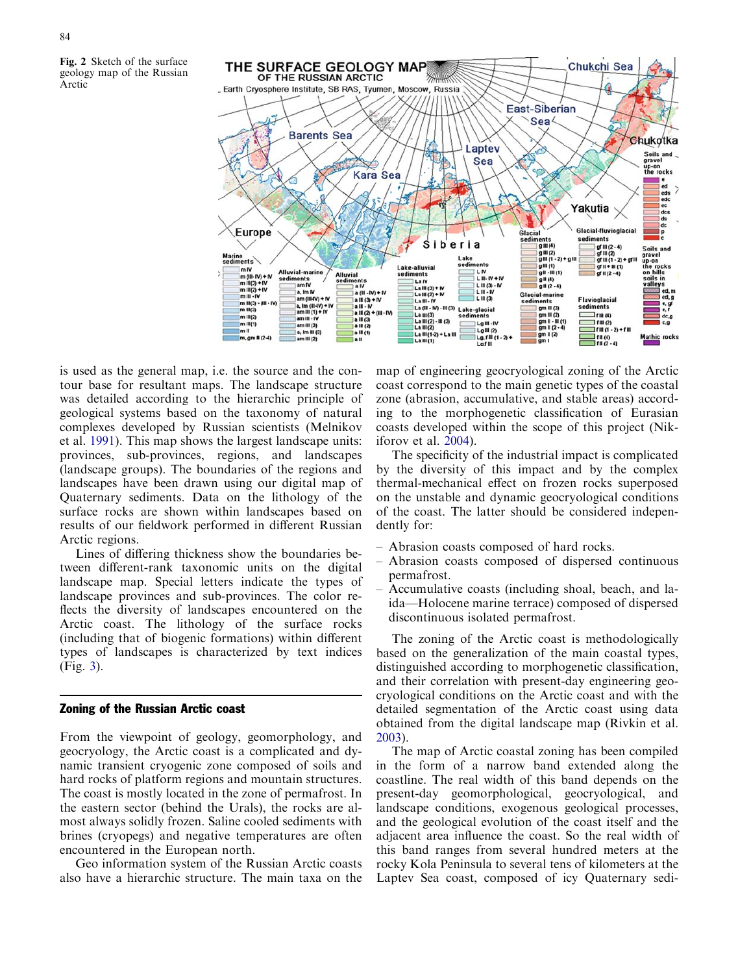<span id="page-3-0"></span>Fig. 2 Sketch of the surface geology map of the Russian Arctic



is used as the general map, i.e. the source and the contour base for resultant maps. The landscape structure was detailed according to the hierarchic principle of geological systems based on the taxonomy of natural complexes developed by Russian scientists (Melnikov et al. [1991\)](#page-7-0). This map shows the largest landscape units: provinces, sub-provinces, regions, and landscapes (landscape groups). The boundaries of the regions and landscapes have been drawn using our digital map of Quaternary sediments. Data on the lithology of the surface rocks are shown within landscapes based on results of our fieldwork performed in different Russian Arctic regions.

Lines of differing thickness show the boundaries between different-rank taxonomic units on the digital landscape map. Special letters indicate the types of landscape provinces and sub-provinces. The color reflects the diversity of landscapes encountered on the Arctic coast. The lithology of the surface rocks (including that of biogenic formations) within different types of landscapes is characterized by text indices (Fig. [3\).](#page-4-0)

## Zoning of the Russian Arctic coast

From the viewpoint of geology, geomorphology, and geocryology, the Arctic coast is a complicated and dynamic transient cryogenic zone composed of soils and hard rocks of platform regions and mountain structures. The coast is mostly located in the zone of permafrost. In the eastern sector (behind the Urals), the rocks are almost always solidly frozen. Saline cooled sediments with brines (cryopegs) and negative temperatures are often encountered in the European north.

Geo information system of the Russian Arctic coasts also have a hierarchic structure. The main taxa on the map of engineering geocryological zoning of the Arctic coast correspond to the main genetic types of the coastal zone (abrasion, accumulative, and stable areas) according to the morphogenetic classification of Eurasian coasts developed within the scope of this project (Nikiforov et al. [2004](#page-7-0)).

The specificity of the industrial impact is complicated by the diversity of this impact and by the complex thermal-mechanical effect on frozen rocks superposed on the unstable and dynamic geocryological conditions of the coast. The latter should be considered independently for:

- Abrasion coasts composed of hard rocks.
- Abrasion coasts composed of dispersed continuous permafrost.
- Accumulative coasts (including shoal, beach, and laida—Holocene marine terrace) composed of dispersed discontinuous isolated permafrost.

The zoning of the Arctic coast is methodologically based on the generalization of the main coastal types, distinguished according to morphogenetic classification, and their correlation with present-day engineering geocryological conditions on the Arctic coast and with the detailed segmentation of the Arctic coast using data obtained from the digital landscape map (Rivkin et al. [2003\)](#page-7-0).

The map of Arctic coastal zoning has been compiled in the form of a narrow band extended along the coastline. The real width of this band depends on the present-day geomorphological, geocryological, and landscape conditions, exogenous geological processes, and the geological evolution of the coast itself and the adjacent area influence the coast. So the real width of this band ranges from several hundred meters at the rocky Kola Peninsula to several tens of kilometers at the Laptev Sea coast, composed of icy Quaternary sedi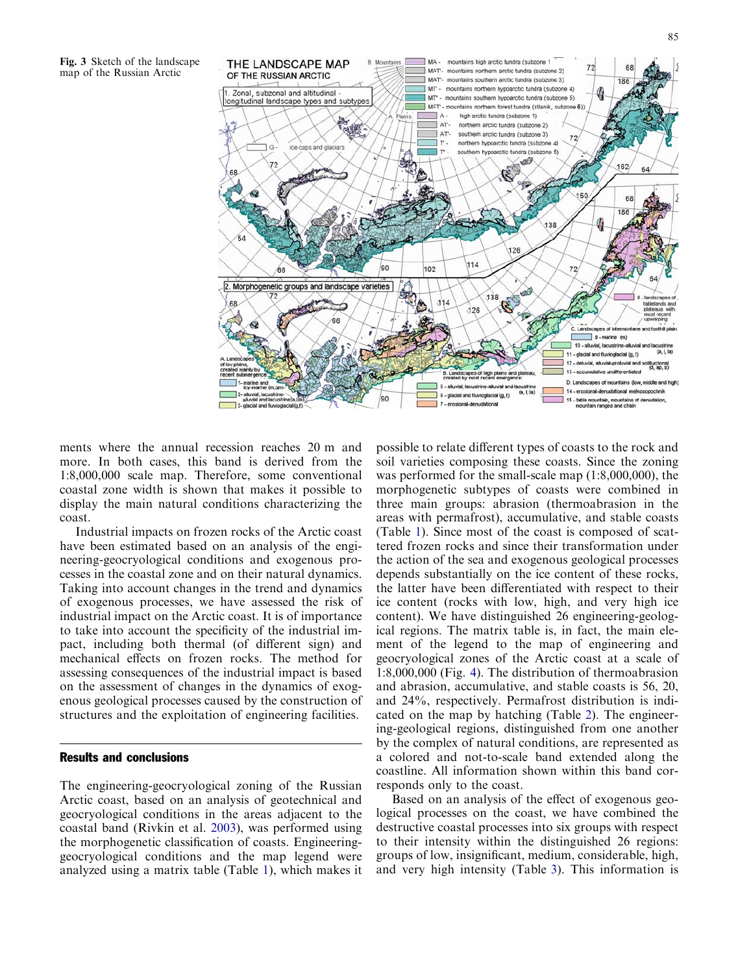<span id="page-4-0"></span>Fig. 3 Sketch of the landscape map of the Russian Arctic



ments where the annual recession reaches 20 m and more. In both cases, this band is derived from the 1:8,000,000 scale map. Therefore, some conventional coastal zone width is shown that makes it possible to display the main natural conditions characterizing the coast.

Industrial impacts on frozen rocks of the Arctic coast have been estimated based on an analysis of the engineering-geocryological conditions and exogenous processes in the coastal zone and on their natural dynamics. Taking into account changes in the trend and dynamics of exogenous processes, we have assessed the risk of industrial impact on the Arctic coast. It is of importance to take into account the specificity of the industrial impact, including both thermal (of different sign) and mechanical effects on frozen rocks. The method for assessing consequences of the industrial impact is based on the assessment of changes in the dynamics of exogenous geological processes caused by the construction of structures and the exploitation of engineering facilities.

## Results and conclusions

The engineering-geocryological zoning of the Russian Arctic coast, based on an analysis of geotechnical and geocryological conditions in the areas adjacent to the coastal band (Rivkin et al. [2003](#page-7-0)), was performed using the morphogenetic classification of coasts. Engineeringgeocryological conditions and the map legend were analyzed using a matrix table (Table [1\), which makes it](#page-5-0)

[possible to relate different types of coasts to the rock and](#page-5-0) [soil varieties composing these coasts. Since the zoning](#page-5-0) [was performed for the small-scale map \(1:8,000,000\), the](#page-5-0) [morphogenetic subtypes of coasts were combined in](#page-5-0) [three main groups: abrasion \(thermoabrasion in the](#page-5-0) [areas with permafrost\), accumulative, and stable coasts](#page-5-0) (Table [1\). Since most of the coast is composed of scat](#page-5-0)[tered frozen rocks and since their transformation under](#page-5-0) [the action of the sea and exogenous geological processes](#page-5-0) [depends substantially on the ice content of these rocks,](#page-5-0) [the latter have been differentiated with respect to their](#page-5-0) [ice content \(rocks with low, high, and very high ice](#page-5-0) [content\). We have distinguished 26 engineering-geolog](#page-5-0)[ical regions. The matrix table is, in fact, the main ele](#page-5-0)[ment of the legend to the map of engineering and](#page-5-0) [geocryological zones of the Arctic coast at a scale of](#page-5-0) 1:8,000,000 (Fig. [4\). The distribution of thermoabrasion](#page-5-0) [and abrasion, accumulative, and stable coasts is 56, 20,](#page-5-0) [and 24%, respectively. Permafrost distribution is indi](#page-5-0)[cated on the map by hatching \(Table](#page-5-0) 2). The engineer[ing-geological regions, distinguished from one another](#page-5-0) [by the complex of natural conditions, are represented as](#page-5-0) [a colored and not-to-scale band extended along the](#page-5-0) [coastline. All information shown within this band cor](#page-5-0)[responds only to the coast.](#page-5-0)

Based on an analysis of the effect of exogenous geological processes on the coast, we have combined the destructive coastal processes into six groups with respect to their intensity within the distinguished 26 regions: groups of low, insignificant, medium, considerable, high, and very high intensity (Table [3\). This information is](#page-6-0)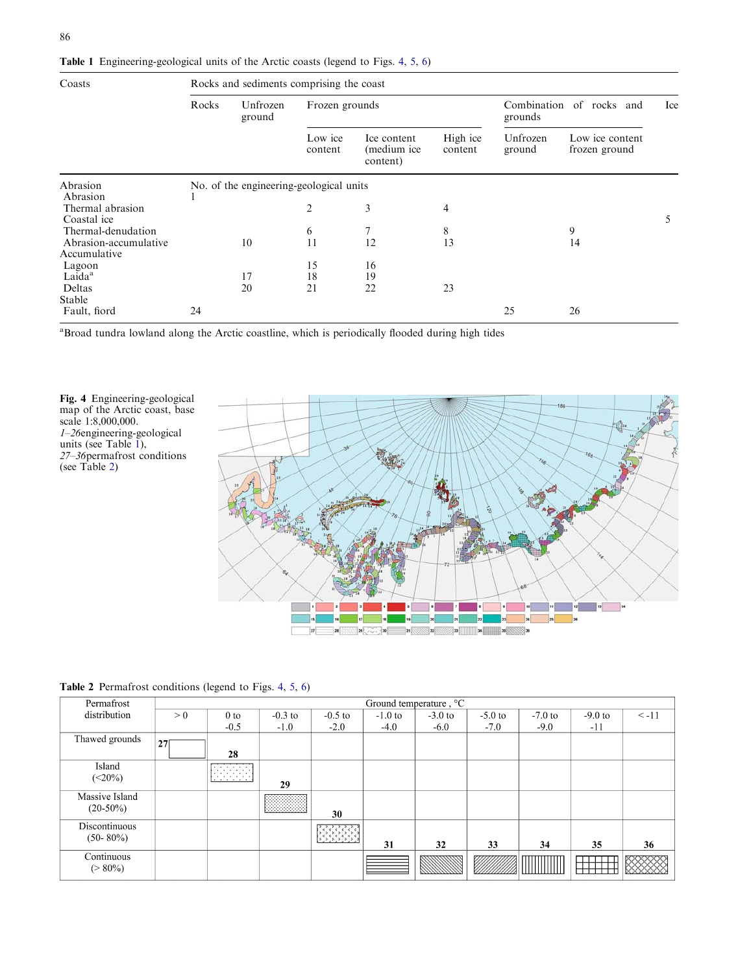<span id="page-5-0"></span>Table 1 Engineering-geological units of the Arctic coasts (legend to Figs. 4, 5, [6\)](#page-6-0)

| Coasts                | Rocks and sediments comprising the coast |                    |                    |                                         |                     |                                     |                                  |     |  |  |  |
|-----------------------|------------------------------------------|--------------------|--------------------|-----------------------------------------|---------------------|-------------------------------------|----------------------------------|-----|--|--|--|
|                       | Rocks                                    | Unfrozen<br>ground | Frozen grounds     |                                         |                     | Combination of rocks and<br>grounds |                                  | Ice |  |  |  |
|                       |                                          |                    | Low ice<br>content | Ice content<br>(medium ice)<br>content) | High ice<br>content | Unfrozen<br>ground                  | Low ice content<br>frozen ground |     |  |  |  |
| Abrasion              | No. of the engineering-geological units  |                    |                    |                                         |                     |                                     |                                  |     |  |  |  |
| Abrasion              |                                          |                    |                    |                                         |                     |                                     |                                  |     |  |  |  |
| Thermal abrasion      |                                          |                    | 2                  | 3                                       | 4                   |                                     |                                  |     |  |  |  |
| Coastal ice           |                                          |                    |                    |                                         |                     |                                     |                                  | 5   |  |  |  |
| Thermal-denudation    |                                          |                    | 6                  |                                         | 8                   |                                     | 9                                |     |  |  |  |
| Abrasion-accumulative |                                          | 10                 | 11                 | 12                                      | 13                  |                                     | 14                               |     |  |  |  |
| Accumulative          |                                          |                    |                    |                                         |                     |                                     |                                  |     |  |  |  |
| Lagoon                |                                          |                    | 15                 | 16                                      |                     |                                     |                                  |     |  |  |  |
| Laida <sup>a</sup>    |                                          | 17                 | 18                 | 19                                      |                     |                                     |                                  |     |  |  |  |
| Deltas                |                                          | 20                 | 21                 | 22                                      | 23                  |                                     |                                  |     |  |  |  |
| Stable                |                                          |                    |                    |                                         |                     |                                     |                                  |     |  |  |  |
| Fault, fiord          | 24                                       |                    |                    |                                         |                     | 25                                  | 26                               |     |  |  |  |

<sup>a</sup> Broad tundra lowland along the Arctic coastline, which is periodically flooded during high tides

Fig. 4 Engineering-geological map of the Arctic coast, base scale 1:8,000,000. 1–26engineering-geological units (see Table 1), 27–36permafrost conditions (see Table 2)



## Table 2 Permafrost conditions (legend to Figs. 4, 5, [6\)](#page-6-0)

| Permafrost                    |     |                 |           |                  |           | Ground temperature, °C |           |           |           |           |
|-------------------------------|-----|-----------------|-----------|------------------|-----------|------------------------|-----------|-----------|-----------|-----------|
| distribution                  | > 0 | 0 <sub>to</sub> | $-0.3$ to | $-0.5$ to        | $-1.0$ to | $-3.0$ to              | $-5.0$ to | $-7.0$ to | $-9.0$ to | $\le -11$ |
|                               |     | $-0.5$          | $-1.0$    | $-2.0$           | $-4.0$    | $-6.0$                 | $-7.0$    | $-9.0$    | $-11$     |           |
| Thawed grounds                | 27  | 28              |           |                  |           |                        |           |           |           |           |
| Island<br>$(\leq 20\%)$       |     | .<br>8888       | 29        |                  |           |                        |           |           |           |           |
| Massive Island<br>$(20-50\%)$ |     |                 |           | 30               |           |                        |           |           |           |           |
| Discontinuous<br>$(50-80\%)$  |     |                 |           | 122333<br>122323 | 31        | 32                     | 33        | 34        | 35        | 36        |
| Continuous<br>$(>80\%)$       |     |                 |           |                  |           |                        |           |           |           |           |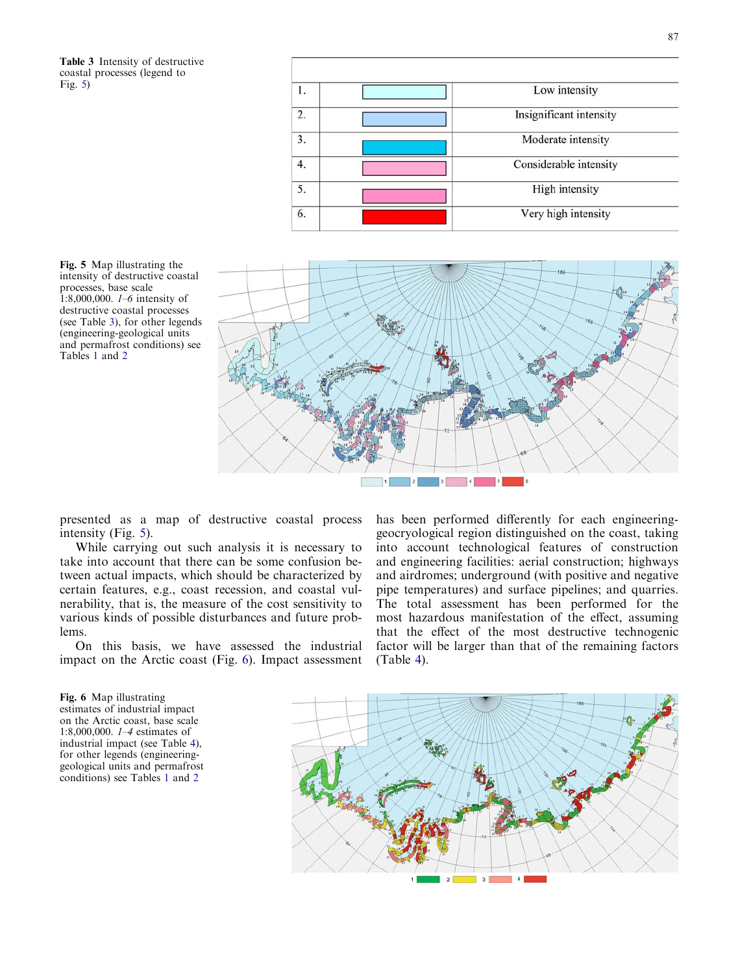<span id="page-6-0"></span>Table 3 Intensity of destructive coastal processes (legend to Fig. 5)







presented as a map of destructive coastal process intensity (Fig. 5).

While carrying out such analysis it is necessary to take into account that there can be some confusion between actual impacts, which should be characterized by certain features, e.g., coast recession, and coastal vulnerability, that is, the measure of the cost sensitivity to various kinds of possible disturbances and future problems.

On this basis, we have assessed the industrial impact on the Arctic coast (Fig. 6). Impact assessment has been performed differently for each engineeringgeocryological region distinguished on the coast, taking into account technological features of construction and engineering facilities: aerial construction; highways and airdromes; underground (with positive and negative pipe temperatures) and surface pipelines; and quarries. The total assessment has been performed for the most hazardous manifestation of the effect, assuming that the effect of the most destructive technogenic factor will be larger than that of the remaining factors [\(Table](#page-7-0) 4).

Fig. 6 Map illustrating estimates of industrial impact on the Arctic coast, base scale 1:8,000,000. 1–4 estimates of industrial impact (see Table [4\),](#page-7-0) [for other legends \(engineering](#page-7-0)[geological units and permafrost](#page-7-0) [conditions\) see Tables](#page-5-0) 1 and 2